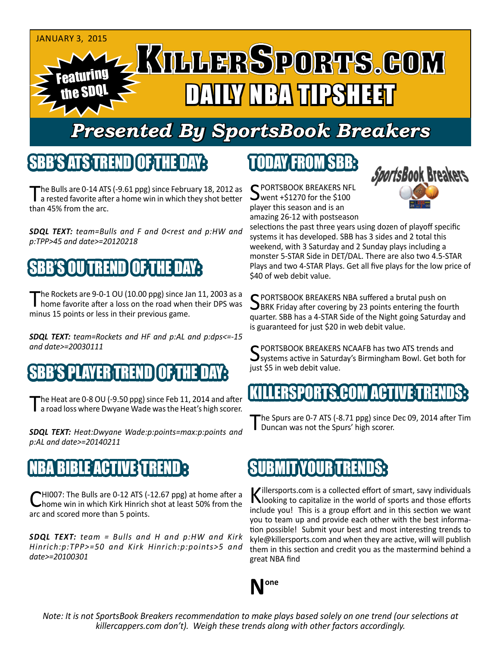

## *Presented By SportsBook Breakers*

#### SBB'S ATS TREN

he Bulls are 0-14 ATS (-9.61 ppg) since February 18, 2012 as a rested favorite after a home win in which they shot better than 45% from the arc.

*SDQL TEXT: team=Bulls and F and 0<rest and p:HW and p:TPP>45 and date>=20120218*

## BENDI

The Rockets are 9-0-1 OU (10.00 ppg) since Jan 11, 2003 as a home favorite after a loss on the road when their DPS was minus 15 points or less in their previous game.

*SDQL TEXT: team=Rockets and HF and p:AL and p:dps<=-15 and date>=20030111*

#### SPLAYER TREND

The Heat are 0-8 OU (-9.50 ppg) since Feb 11, 2014 and after<br>
I a road loss where Dwyane Wade was the Heat's high scorer.

*SDQL TEXT: Heat:Dwyane Wade:p:points=max:p:points and p:AL and date>=20140211*

#### **BLE ACTIVE TREN**

HI007: The Bulls are 0-12 ATS (-12.67 ppg) at home after a home win in which Kirk Hinrich shot at least 50% from the arc and scored more than 5 points.

*SDQL TEXT: team = Bulls and H and p:HW and Kirk Hinrich:p:TPP>=50 and Kirk Hinrich:p:points>5 and date>=20100301*

### TODAY FROM SBB:

C PORTSBOOK BREAKERS NFL went +\$1270 for the \$100 player this season and is an amazing 26-12 with postseason



selections the past three years using dozen of playoff specific systems it has developed. SBB has 3 sides and 2 total this weekend, with 3 Saturday and 2 Sunday plays including a monster 5-STAR Side in DET/DAL. There are also two 4.5-STAR Plays and two 4-STAR Plays. Get all five plays for the low price of \$40 of web debit value.

SPORTSBOOK BREAKERS NBA suffered a brutal push on<br>SBRK Friday after covering by 23 points entering the fourth quarter. SBB has a 4-STAR Side of the Night going Saturday and is guaranteed for just \$20 in web debit value.

SPORTSBOOK BREAKERS NCAAFB has two ATS trends and<br>Systems active in Saturday's Birmingham Bowl. Get both for just \$5 in web debit value.

#### **KILLERSPORTS.COM ACTIVE T**

The Spurs are 0-7 ATS (-8.71 ppg) since Dec 09, 2014 after Tim Duncan was not the Spurs' high scorer.

#### **SUBMIT YOUR TREN**

Killersports.com is a collected effort of smart, savy individuals<br>Nooking to capitalize in the world of sports and those efforts include you! This is a group effort and in this section we want you to team up and provide each other with the best information possible! Submit your best and most interesting trends to kyle@killersports.com and when they are active, will will publish them in this section and credit you as the mastermind behind a great NBA find



*Note: It is not SportsBook Breakers recommendation to make plays based solely on one trend (our selections at killercappers.com don't). Weigh these trends along with other factors accordingly.*